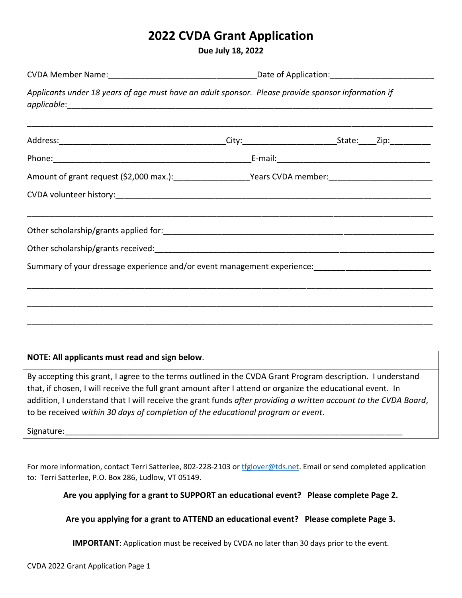## **2022 CVDA Grant Application**

**Due July 18, 2022**

|                                                                                                                                                                                                                                                                                                                                                                                                                                 | CVDA Member Name: CVDA Member Name: CVDA Member Name: CVDA Member Name: CVDA Member Name: CVDA Member 2014      |  |  |
|---------------------------------------------------------------------------------------------------------------------------------------------------------------------------------------------------------------------------------------------------------------------------------------------------------------------------------------------------------------------------------------------------------------------------------|-----------------------------------------------------------------------------------------------------------------|--|--|
| Applicants under 18 years of age must have an adult sponsor. Please provide sponsor information if                                                                                                                                                                                                                                                                                                                              |                                                                                                                 |  |  |
|                                                                                                                                                                                                                                                                                                                                                                                                                                 |                                                                                                                 |  |  |
|                                                                                                                                                                                                                                                                                                                                                                                                                                 |                                                                                                                 |  |  |
|                                                                                                                                                                                                                                                                                                                                                                                                                                 | Amount of grant request (\$2,000 max.): _________________________Years CVDA member: ___________________________ |  |  |
|                                                                                                                                                                                                                                                                                                                                                                                                                                 |                                                                                                                 |  |  |
|                                                                                                                                                                                                                                                                                                                                                                                                                                 |                                                                                                                 |  |  |
|                                                                                                                                                                                                                                                                                                                                                                                                                                 |                                                                                                                 |  |  |
| Summary of your dressage experience and/or event management experience: ___________________________                                                                                                                                                                                                                                                                                                                             |                                                                                                                 |  |  |
|                                                                                                                                                                                                                                                                                                                                                                                                                                 |                                                                                                                 |  |  |
| NOTE: All applicants must read and sign below.                                                                                                                                                                                                                                                                                                                                                                                  |                                                                                                                 |  |  |
| By accepting this grant, I agree to the terms outlined in the CVDA Grant Program description. I understand<br>that, if chosen, I will receive the full grant amount after I attend or organize the educational event. In<br>addition, I understand that I will receive the grant funds after providing a written account to the CVDA Board,<br>to be received within 30 days of completion of the educational program or event. |                                                                                                                 |  |  |
|                                                                                                                                                                                                                                                                                                                                                                                                                                 |                                                                                                                 |  |  |
|                                                                                                                                                                                                                                                                                                                                                                                                                                 |                                                                                                                 |  |  |

For more information, contact Terri Satterlee, 802-228-2103 or [tfglover@tds.net.](mailto:tfglover@tds.net) Email or send completed application to: Terri Satterlee, P.O. Box 286, Ludlow, VT 05149.

**Are you applying for a grant to SUPPORT an educational event? Please complete Page 2.**

**Are you applying for a grant to ATTEND an educational event? Please complete Page 3.**

**IMPORTANT**: Application must be received by CVDA no later than 30 days prior to the event.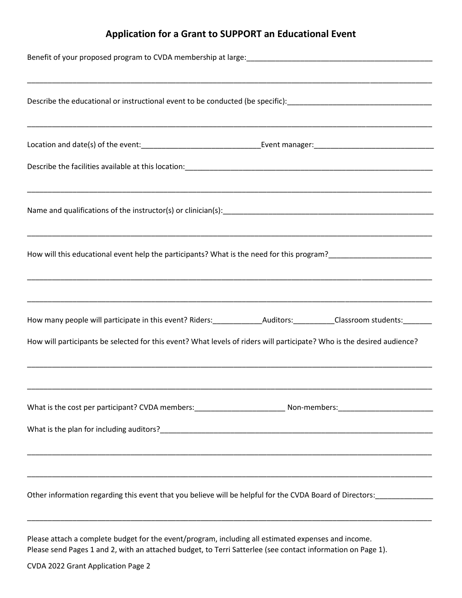## **Application for a Grant to SUPPORT an Educational Event**

| Describe the educational or instructional event to be conducted (be specific):________________________________ |                                                                                                                                                                                                                                                  |  |
|----------------------------------------------------------------------------------------------------------------|--------------------------------------------------------------------------------------------------------------------------------------------------------------------------------------------------------------------------------------------------|--|
|                                                                                                                |                                                                                                                                                                                                                                                  |  |
|                                                                                                                |                                                                                                                                                                                                                                                  |  |
|                                                                                                                |                                                                                                                                                                                                                                                  |  |
|                                                                                                                | How will this educational event help the participants? What is the need for this program?___________________________                                                                                                                             |  |
|                                                                                                                | How many people will participate in this event? Riders: __________________________________Classroom students: ________<br>How will participants be selected for this event? What levels of riders will participate? Who is the desired audience? |  |
|                                                                                                                |                                                                                                                                                                                                                                                  |  |
|                                                                                                                |                                                                                                                                                                                                                                                  |  |

Please attach a complete budget for the event/program, including all estimated expenses and income. Please send Pages 1 and 2, with an attached budget, to Terri Satterlee (see contact information on Page 1).